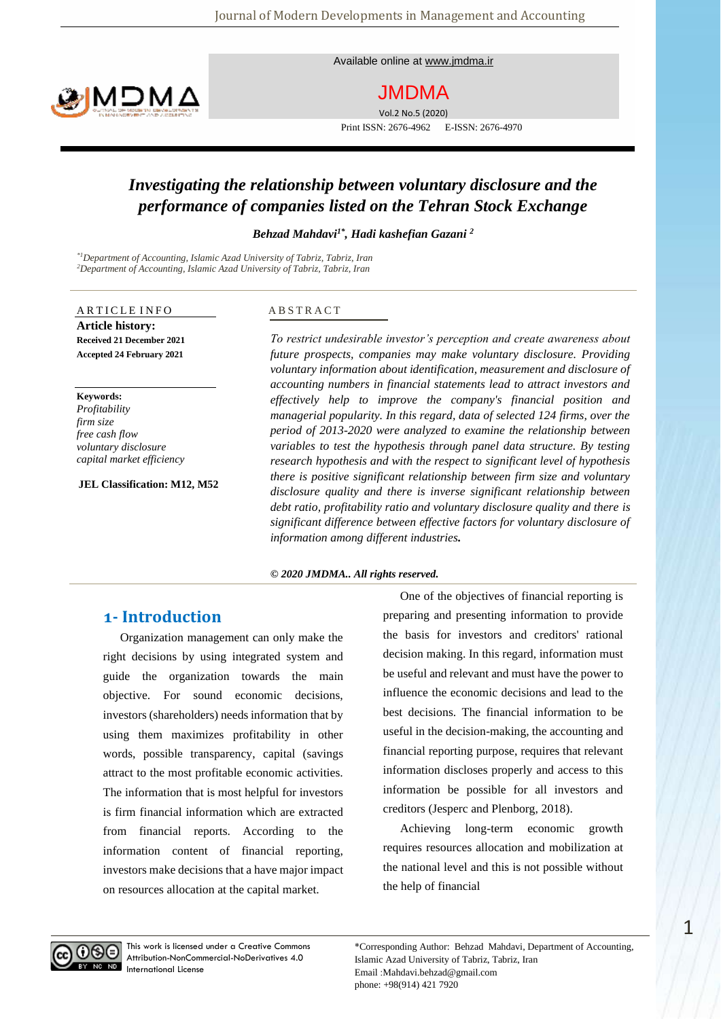Available online at [www.jmdma.ir](file:///D:/jmdma/NO.5/بنابی/www.jmdma.ir)

# MOMA

JMDMA

Vol.2 No.5 (2020) Print ISSN: 2676-4962 E-ISSN: 2676-4970

## *Investigating the relationship between voluntary disclosure and the performance of companies listed on the Tehran Stock Exchange*

*Behzad Mahdavi1\* , Hadi kashefian Gazani <sup>2</sup>*

*\*1Department of Accounting, Islamic Azad University of Tabriz, Tabriz, Iran <sup>2</sup>Department of Accounting, Islamic Azad University of Tabriz, Tabriz, Iran*

#### ARTICLE INFO **Article history: Received 21 December 2021 Accepted 24 February 2021**

**Keywords:** *Profitability firm size free cash flow voluntary disclosure capital market efficiency*

**JEL Classification: M12, M52**

#### A B S T R A C T

*To restrict undesirable investor's perception and create awareness about future prospects, companies may make voluntary disclosure. Providing voluntary information about identification, measurement and disclosure of accounting numbers in financial statements lead to attract investors and effectively help to improve the company's financial position and managerial popularity. In this regard, data of selected 124 firms, over the period of 2013-2020 were analyzed to examine the relationship between variables to test the hypothesis through panel data structure. By testing research hypothesis and with the respect to significant level of hypothesis there is positive significant relationship between firm size and voluntary disclosure quality and there is inverse significant relationship between debt ratio, profitability ratio and voluntary disclosure quality and there is significant difference between effective factors for voluntary disclosure of information among different industries.*

#### *© 2020 JMDMA.. All rights reserved.*

## **1- Introduction**

Organization management can only make the right decisions by using integrated system and guide the organization towards the main objective. For sound economic decisions, investors (shareholders) needs information that by using them maximizes profitability in other words, possible transparency, capital (savings attract to the most profitable economic activities. The information that is most helpful for investors is firm financial information which are extracted from financial reports. According to the information content of financial reporting, investors make decisions that a have major impact on resources allocation at the capital market.

One of the objectives of financial reporting is preparing and presenting information to provide the basis for investors and creditors' rational decision making. In this regard, information must be useful and relevant and must have the power to influence the economic decisions and lead to the best decisions. The financial information to be useful in the decision-making, the accounting and financial reporting purpose, requires that relevant information discloses properly and access to this information be possible for all investors and creditors (Jesperc and Plenborg, 2018).

Achieving long-term economic growth requires resources allocation and mobilization at the national level and this is not possible without the help of financial

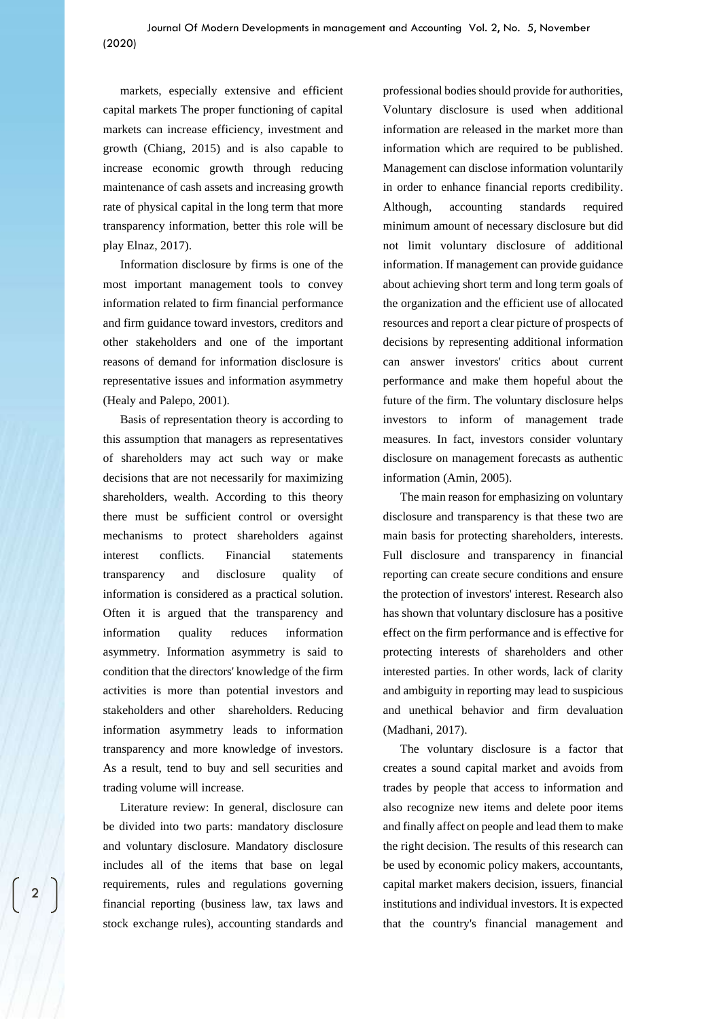markets, especially extensive and efficient capital markets The proper functioning of capital markets can increase efficiency, investment and growth (Chiang, 2015) and is also capable to increase economic growth through reducing maintenance of cash assets and increasing growth rate of physical capital in the long term that more transparency information, better this role will be play Elnaz, 2017).

Information disclosure by firms is one of the most important management tools to convey information related to firm financial performance and firm guidance toward investors, creditors and other stakeholders and one of the important reasons of demand for information disclosure is representative issues and information asymmetry (Healy and Palepo, 2001).

Basis of representation theory is according to this assumption that managers as representatives of shareholders may act such way or make decisions that are not necessarily for maximizing shareholders, wealth. According to this theory there must be sufficient control or oversight mechanisms to protect shareholders against interest conflicts. Financial statements transparency and disclosure quality of information is considered as a practical solution. Often it is argued that the transparency and information quality reduces information asymmetry. Information asymmetry is said to condition that the directors' knowledge of the firm activities is more than potential investors and stakeholders and other shareholders. Reducing information asymmetry leads to information transparency and more knowledge of investors. As a result, tend to buy and sell securities and trading volume will increase.

Literature review: In general, disclosure can be divided into two parts: mandatory disclosure and voluntary disclosure. Mandatory disclosure includes all of the items that base on legal requirements, rules and regulations governing financial reporting (business law, tax laws and stock exchange rules), accounting standards and

2

professional bodies should provide for authorities, Voluntary disclosure is used when additional information are released in the market more than information which are required to be published. Management can disclose information voluntarily in order to enhance financial reports credibility. Although, accounting standards required minimum amount of necessary disclosure but did not limit voluntary disclosure of additional information. If management can provide guidance about achieving short term and long term goals of the organization and the efficient use of allocated resources and report a clear picture of prospects of decisions by representing additional information can answer investors' critics about current performance and make them hopeful about the future of the firm. The voluntary disclosure helps investors to inform of management trade measures. In fact, investors consider voluntary disclosure on management forecasts as authentic information (Amin, 2005).

The main reason for emphasizing on voluntary disclosure and transparency is that these two are main basis for protecting shareholders, interests. Full disclosure and transparency in financial reporting can create secure conditions and ensure the protection of investors' interest. Research also has shown that voluntary disclosure has a positive effect on the firm performance and is effective for protecting interests of shareholders and other interested parties. In other words, lack of clarity and ambiguity in reporting may lead to suspicious and unethical behavior and firm devaluation (Madhani, 2017).

The voluntary disclosure is a factor that creates a sound capital market and avoids from trades by people that access to information and also recognize new items and delete poor items and finally affect on people and lead them to make the right decision. The results of this research can be used by economic policy makers, accountants, capital market makers decision, issuers, financial institutions and individual investors. It is expected that the country's financial management and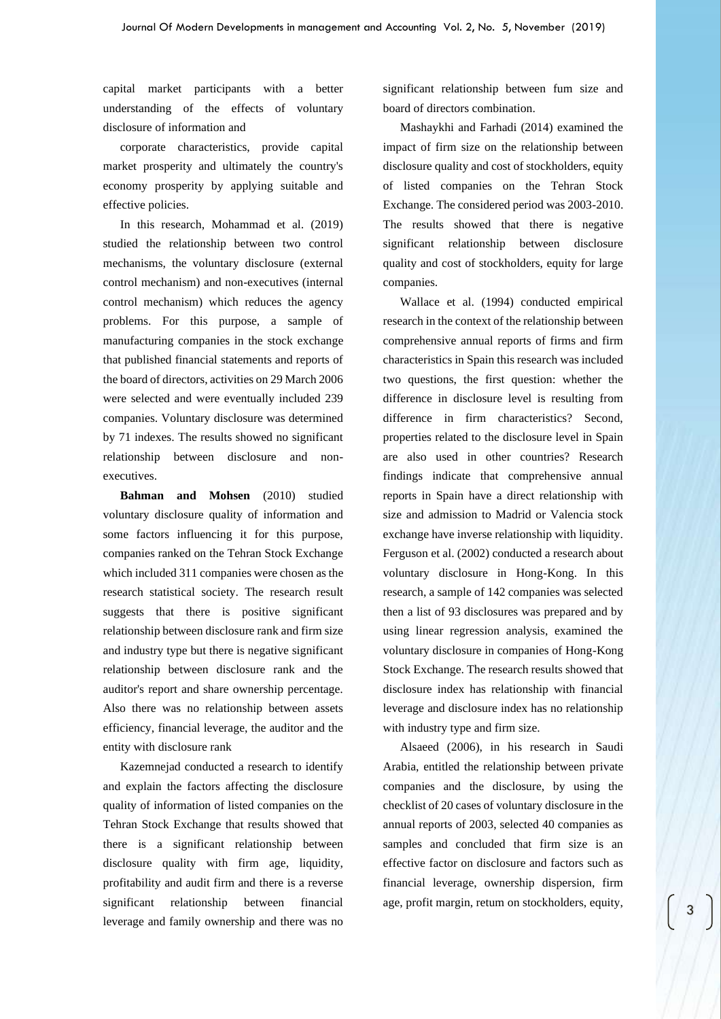capital market participants with a better understanding of the effects of voluntary disclosure of information and

corporate characteristics, provide capital market prosperity and ultimately the country's economy prosperity by applying suitable and effective policies.

In this research, Mohammad et al. (2019) studied the relationship between two control mechanisms, the voluntary disclosure (external control mechanism) and non-executives (internal control mechanism) which reduces the agency problems. For this purpose, a sample of manufacturing companies in the stock exchange that published financial statements and reports of the board of directors, activities on 29 March 2006 were selected and were eventually included 239 companies. Voluntary disclosure was determined by 71 indexes. The results showed no significant relationship between disclosure and nonexecutives.

**Bahman and Mohsen** (2010) studied voluntary disclosure quality of information and some factors influencing it for this purpose, companies ranked on the Tehran Stock Exchange which included 311 companies were chosen as the research statistical society. The research result suggests that there is positive significant relationship between disclosure rank and firm size and industry type but there is negative significant relationship between disclosure rank and the auditor's report and share ownership percentage. Also there was no relationship between assets efficiency, financial leverage, the auditor and the entity with disclosure rank

Kazemnejad conducted a research to identify and explain the factors affecting the disclosure quality of information of listed companies on the Tehran Stock Exchange that results showed that there is a significant relationship between disclosure quality with firm age, liquidity, profitability and audit firm and there is a reverse significant relationship between financial leverage and family ownership and there was no

significant relationship between fum size and board of directors combination.

Mashaykhi and Farhadi (2014) examined the impact of firm size on the relationship between disclosure quality and cost of stockholders, equity of listed companies on the Tehran Stock Exchange. The considered period was 2003-2010. The results showed that there is negative significant relationship between disclosure quality and cost of stockholders, equity for large companies.

Wallace et al. (1994) conducted empirical research in the context of the relationship between comprehensive annual reports of firms and firm characteristics in Spain this research was included two questions, the first question: whether the difference in disclosure level is resulting from difference in firm characteristics? Second, properties related to the disclosure level in Spain are also used in other countries? Research findings indicate that comprehensive annual reports in Spain have a direct relationship with size and admission to Madrid or Valencia stock exchange have inverse relationship with liquidity. Ferguson et al. (2002) conducted a research about voluntary disclosure in Hong-Kong. In this research, a sample of 142 companies was selected then a list of 93 disclosures was prepared and by using linear regression analysis, examined the voluntary disclosure in companies of Hong-Kong Stock Exchange. The research results showed that disclosure index has relationship with financial leverage and disclosure index has no relationship with industry type and firm size.

Alsaeed (2006), in his research in Saudi Arabia, entitled the relationship between private companies and the disclosure, by using the checklist of 20 cases of voluntary disclosure in the annual reports of 2003, selected 40 companies as samples and concluded that firm size is an effective factor on disclosure and factors such as financial leverage, ownership dispersion, firm age, profit margin, retum on stockholders, equity,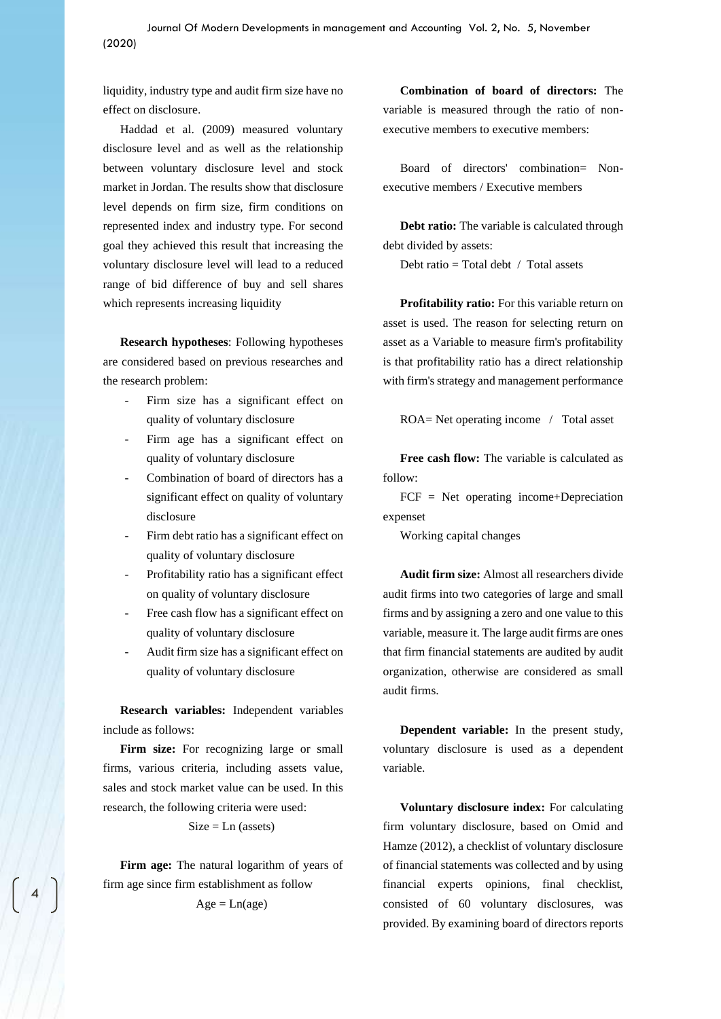liquidity, industry type and audit firm size have no effect on disclosure.

Haddad et al. (2009) measured voluntary disclosure level and as well as the relationship between voluntary disclosure level and stock market in Jordan. The results show that disclosure level depends on firm size, firm conditions on represented index and industry type. For second goal they achieved this result that increasing the voluntary disclosure level will lead to a reduced range of bid difference of buy and sell shares which represents increasing liquidity

**Research hypotheses**: Following hypotheses are considered based on previous researches and the research problem:

- Firm size has a significant effect on quality of voluntary disclosure
- Firm age has a significant effect on quality of voluntary disclosure
- Combination of board of directors has a significant effect on quality of voluntary disclosure
- Firm debt ratio has a significant effect on quality of voluntary disclosure
- Profitability ratio has a significant effect on quality of voluntary disclosure
- Free cash flow has a significant effect on quality of voluntary disclosure
- Audit firm size has a significant effect on quality of voluntary disclosure

**Research variables:** Independent variables include as follows:

**Firm size:** For recognizing large or small firms, various criteria, including assets value, sales and stock market value can be used. In this research, the following criteria were used:

 $Size = Ln (assets)$ 

**Firm age:** The natural logarithm of years of firm age since firm establishment as follow

$$
Age = Ln(age)
$$

**Combination of board of directors:** The variable is measured through the ratio of nonexecutive members to executive members:

Board of directors' combination= Nonexecutive members / Executive members

**Debt ratio:** The variable is calculated through debt divided by assets:

Debt ratio  $=$  Total debt / Total assets

**Profitability ratio:** For this variable return on asset is used. The reason for selecting return on asset as a Variable to measure firm's profitability is that profitability ratio has a direct relationship with firm's strategy and management performance

ROA= Net operating income / Total asset

**Free cash flow:** The variable is calculated as follow:

FCF = Net operating income+Depreciation expenset

Working capital changes

**Audit firm size:** Almost all researchers divide audit firms into two categories of large and small firms and by assigning a zero and one value to this variable, measure it. The large audit firms are ones that firm financial statements are audited by audit organization, otherwise are considered as small audit firms.

**Dependent variable:** In the present study, voluntary disclosure is used as a dependent variable.

**Voluntary disclosure index:** For calculating firm voluntary disclosure, based on Omid and Hamze (2012), a checklist of voluntary disclosure of financial statements was collected and by using financial experts opinions, final checklist, consisted of 60 voluntary disclosures, was provided. By examining board of directors reports

4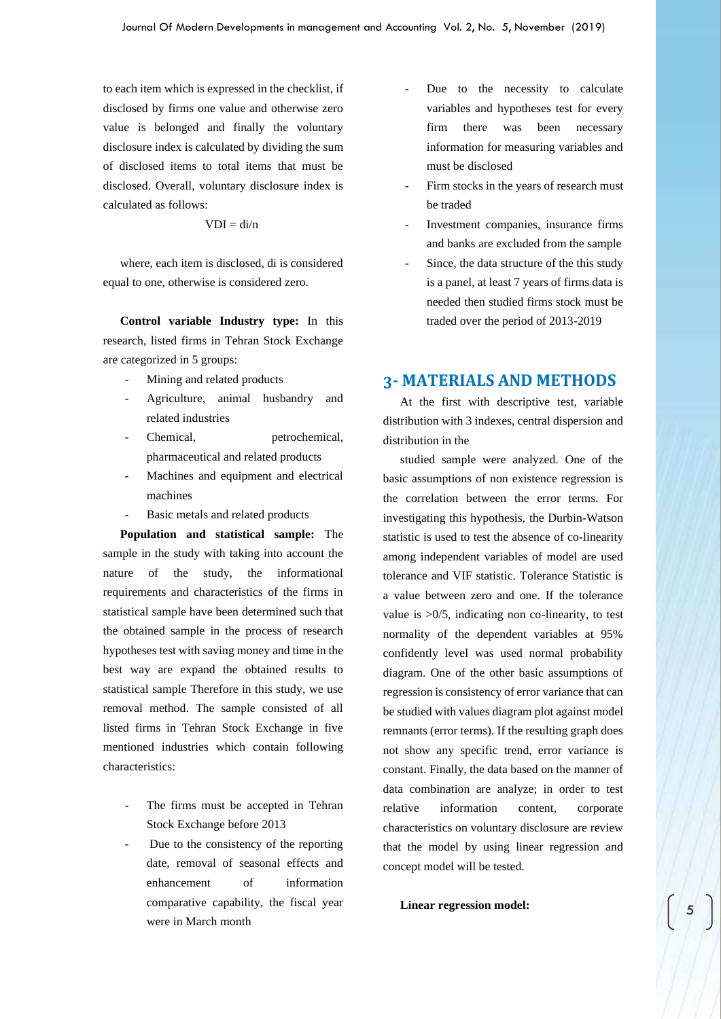to each item which is expressed in the checklist, if disclosed by firms one value and otherwise zero value is belonged and finally the voluntary disclosure index is calculated by dividing the sum of disclosed items to total items that must be disclosed. Overall, voluntary disclosure index is calculated as follows:

$$
VDI = di/n
$$

where, each item is disclosed, di is considered equal to one, otherwise is considered zero.

**Control variable Industry type:** In this research, listed firms in Tehran Stock Exchange are categorized in 5 groups:

- Mining and related products
- Agriculture, animal husbandry and related industries
- Chemical, petrochemical, pharmaceutical and related products
- Machines and equipment and electrical machines
- Basic metals and related products

**Population and statistical sample:** The sample in the study with taking into account the nature of the study, the informational requirements and characteristics of the firms in statistical sample have been determined such that the obtained sample in the process of research hypotheses test with saving money and time in the best way are expand the obtained results to statistical sample Therefore in this study, we use removal method. The sample consisted of all listed firms in Tehran Stock Exchange in five mentioned industries which contain following characteristics:

- The firms must be accepted in Tehran Stock Exchange before 2013
- Due to the consistency of the reporting date, removal of seasonal effects and enhancement of information comparative capability, the fiscal year were in March month
- Due to the necessity to calculate variables and hypotheses test for every firm there was been necessary information for measuring variables and must be disclosed
- Firm stocks in the years of research must be traded
- Investment companies, insurance firms and banks are excluded from the sample
- Since, the data structure of the this study is a panel, at least 7 years of firms data is needed then studied firms stock must be traded over the period of 2013-2019

## **3- MATERIALS AND METHODS**

At the first with descriptive test, variable distribution with 3 indexes, central dispersion and distribution in the

studied sample were analyzed. One of the basic assumptions of non existence regression is the correlation between the error terms. For investigating this hypothesis, the Durbin-Watson statistic is used to test the absence of co-linearity among independent variables of model are used tolerance and VIF statistic. Tolerance Statistic is a value between zero and one. If the tolerance value is  $>0/5$ , indicating non co-linearity, to test normality of the dependent variables at 95% confidently level was used normal probability diagram. One of the other basic assumptions of regression is consistency of error variance that can be studied with values diagram plot against model remnants (error terms). If the resulting graph does not show any specific trend, error variance is constant. Finally, the data based on the manner of data combination are analyze; in order to test relative information content, corporate characteristics on voluntary disclosure are review that the model by using linear regression and concept model will be tested.

**Linear regression model:**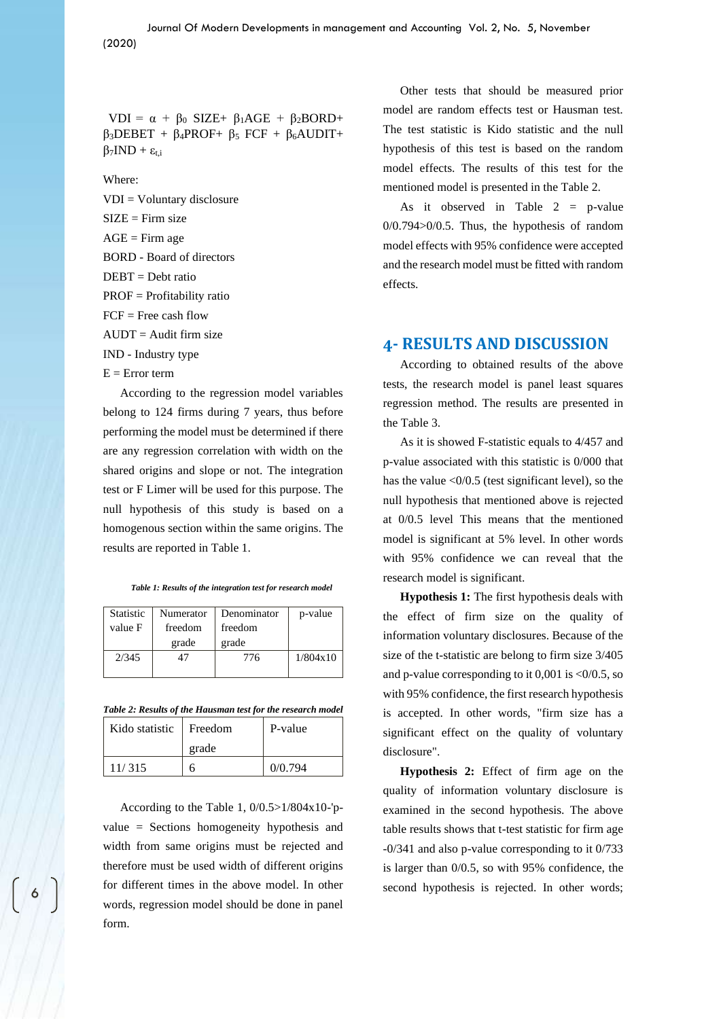VDI =  $\alpha$  +  $\beta_0$  SIZE+  $\beta_1$ AGE +  $\beta_2$ BORD+  $β<sub>3</sub>DEBET + β<sub>4</sub>PROF+ β<sub>5</sub> FCF + β<sub>6</sub>AUDIT+$  $\beta$ <sub>7</sub>IND +  $\varepsilon$ <sub>t,i</sub>

Where:

VDI = Voluntary disclosure  $SIZE = Firm size$  $AGE =$ Firm age BORD - Board of directors  $DERT = Debt ratio$ PROF = Profitability ratio  $FCF = Free cash flow$  $AUDT = Audit$  firm size IND - Industry type  $E = Error term$ 

According to the regression model variables belong to 124 firms during 7 years, thus before performing the model must be determined if there are any regression correlation with width on the shared origins and slope or not. The integration test or F Limer will be used for this purpose. The null hypothesis of this study is based on a homogenous section within the same origins. The results are reported in Table 1.

|  |  |  |  | Table 1: Results of the integration test for research model |  |
|--|--|--|--|-------------------------------------------------------------|--|
|  |  |  |  |                                                             |  |

| <b>Statistic</b><br>value F | Numerator<br>freedom<br>grade | Denominator<br>freedom<br>grade | p-value  |
|-----------------------------|-------------------------------|---------------------------------|----------|
| 2/345                       |                               | 776                             | 1/804x10 |

*Table 2: Results of the Hausman test for the research model*

| Kido statistic   Freedom |       | P-value |  |  |
|--------------------------|-------|---------|--|--|
|                          | grade |         |  |  |
| 11/315                   |       | 0/0.794 |  |  |

According to the Table 1, 0/0.5>1/804x10-'pvalue = Sections homogeneity hypothesis and width from same origins must be rejected and therefore must be used width of different origins for different times in the above model. In other words, regression model should be done in panel form.

Other tests that should be measured prior model are random effects test or Hausman test. The test statistic is Kido statistic and the null hypothesis of this test is based on the random model effects. The results of this test for the mentioned model is presented in the Table 2.

As it observed in Table  $2 = p-value$ 0/0.794>0/0.5. Thus, the hypothesis of random model effects with 95% confidence were accepted and the research model must be fitted with random effects.

#### **4- RESULTS AND DISCUSSION**

According to obtained results of the above tests, the research model is panel least squares regression method. The results are presented in the Table 3.

As it is showed F-statistic equals to 4/457 and p-value associated with this statistic is 0/000 that has the value <0/0.5 (test significant level), so the null hypothesis that mentioned above is rejected at 0/0.5 level This means that the mentioned model is significant at 5% level. In other words with 95% confidence we can reveal that the research model is significant.

**Hypothesis 1:** The first hypothesis deals with the effect of firm size on the quality of information voluntary disclosures. Because of the size of the t-statistic are belong to firm size 3/405 and p-value corresponding to it  $0.001$  is  $\langle 0/0.5,$  so with 95% confidence, the first research hypothesis is accepted. In other words, "firm size has a significant effect on the quality of voluntary disclosure".

**Hypothesis 2:** Effect of firm age on the quality of information voluntary disclosure is examined in the second hypothesis. The above table results shows that t-test statistic for firm age -0/341 and also p-value corresponding to it 0/733 is larger than 0/0.5, so with 95% confidence, the second hypothesis is rejected. In other words;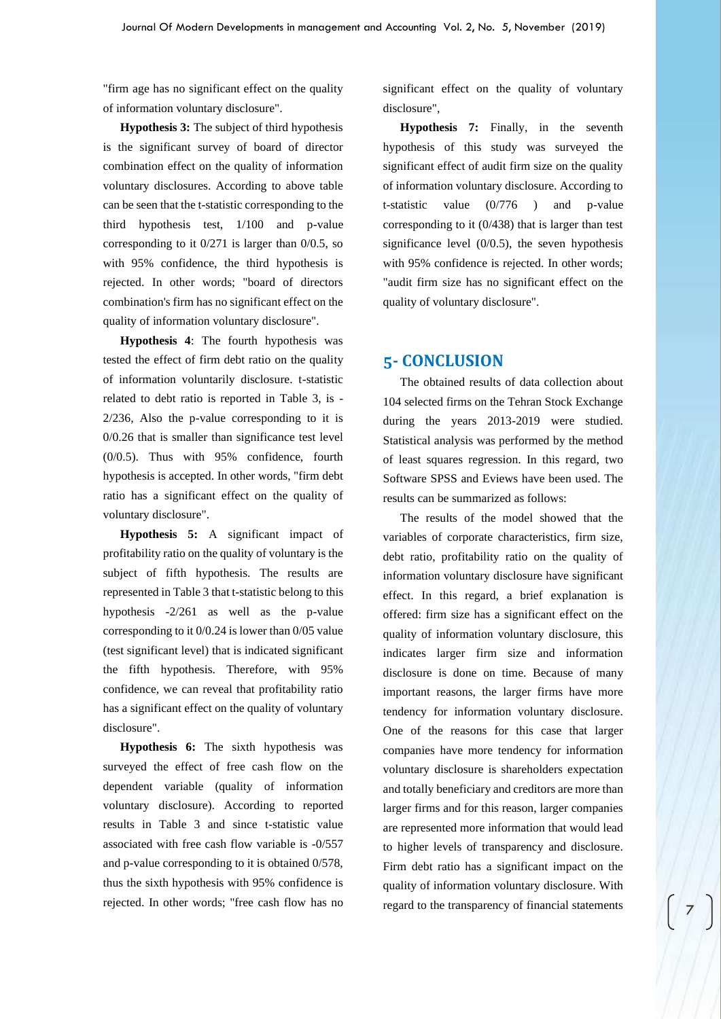"firm age has no significant effect on the quality of information voluntary disclosure".

**Hypothesis 3:** The subject of third hypothesis is the significant survey of board of director combination effect on the quality of information voluntary disclosures. According to above table can be seen that the t-statistic corresponding to the third hypothesis test, 1/100 and p-value corresponding to it 0/271 is larger than 0/0.5, so with 95% confidence, the third hypothesis is rejected. In other words; "board of directors combination's firm has no significant effect on the quality of information voluntary disclosure".

**Hypothesis 4**: The fourth hypothesis was tested the effect of firm debt ratio on the quality of information voluntarily disclosure. t-statistic related to debt ratio is reported in Table 3, is - 2/236, Also the p-value corresponding to it is 0/0.26 that is smaller than significance test level (0/0.5). Thus with 95% confidence, fourth hypothesis is accepted. In other words, "firm debt ratio has a significant effect on the quality of voluntary disclosure".

**Hypothesis 5:** A significant impact of profitability ratio on the quality of voluntary is the subject of fifth hypothesis. The results are represented in Table 3 that t-statistic belong to this hypothesis -2/261 as well as the p-value corresponding to it 0/0.24 is lower than 0/05 value (test significant level) that is indicated significant the fifth hypothesis. Therefore, with 95% confidence, we can reveal that profitability ratio has a significant effect on the quality of voluntary disclosure".

**Hypothesis 6:** The sixth hypothesis was surveyed the effect of free cash flow on the dependent variable (quality of information voluntary disclosure). According to reported results in Table 3 and since t-statistic value associated with free cash flow variable is -0/557 and p-value corresponding to it is obtained 0/578, thus the sixth hypothesis with 95% confidence is rejected. In other words; "free cash flow has no significant effect on the quality of voluntary disclosure",

**Hypothesis 7:** Finally, in the seventh hypothesis of this study was surveyed the significant effect of audit firm size on the quality of information voluntary disclosure. According to t-statistic value (0/776 ) and p-value corresponding to it (0/438) that is larger than test significance level (0/0.5), the seven hypothesis with 95% confidence is rejected. In other words; "audit firm size has no significant effect on the quality of voluntary disclosure".

#### **5- CONCLUSION**

The obtained results of data collection about 104 selected firms on the Tehran Stock Exchange during the years 2013-2019 were studied. Statistical analysis was performed by the method of least squares regression. In this regard, two Software SPSS and Eviews have been used. The results can be summarized as follows:

The results of the model showed that the variables of corporate characteristics, firm size, debt ratio, profitability ratio on the quality of information voluntary disclosure have significant effect. In this regard, a brief explanation is offered: firm size has a significant effect on the quality of information voluntary disclosure, this indicates larger firm size and information disclosure is done on time. Because of many important reasons, the larger firms have more tendency for information voluntary disclosure. One of the reasons for this case that larger companies have more tendency for information voluntary disclosure is shareholders expectation and totally beneficiary and creditors are more than larger firms and for this reason, larger companies are represented more information that would lead to higher levels of transparency and disclosure. Firm debt ratio has a significant impact on the quality of information voluntary disclosure. With regard to the transparency of financial statements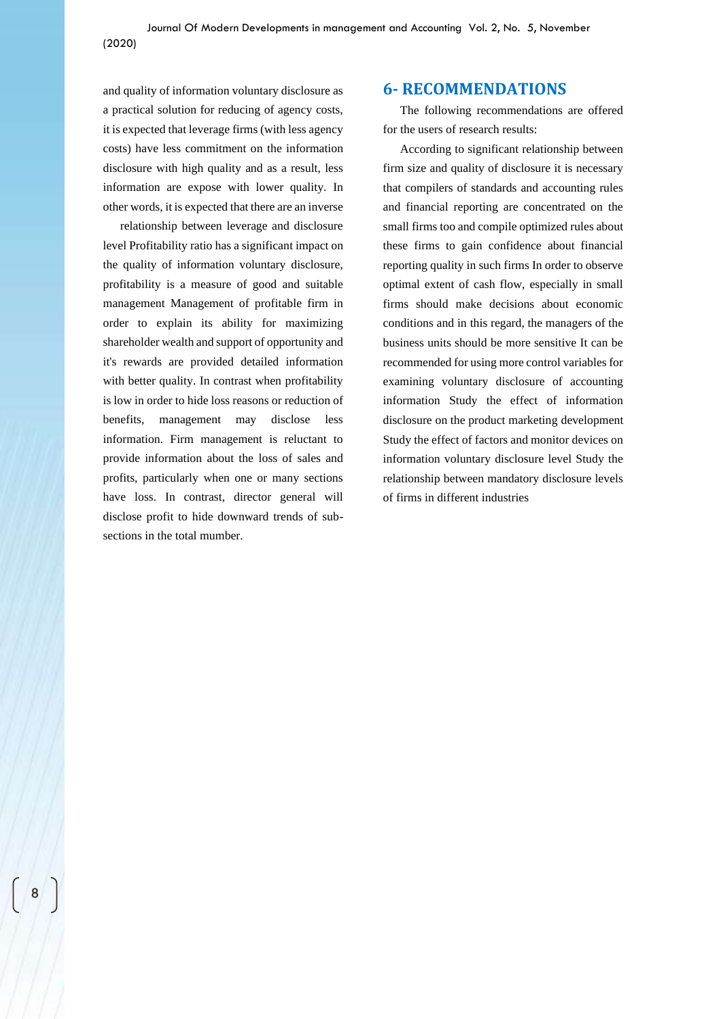and quality of information voluntary disclosure as a practical solution for reducing of agency costs, it is expected that leverage firms (with less agency costs) have less commitment on the information disclosure with high quality and as a result, less information are expose with lower quality. In other words, it is expected that there are an inverse

relationship between leverage and disclosure level Profitability ratio has a significant impact on the quality of information voluntary disclosure, profitability is a measure of good and suitable management Management of profitable firm in order to explain its ability for maximizing shareholder wealth and support of opportunity and it's rewards are provided detailed information with better quality. In contrast when profitability is low in order to hide loss reasons or reduction of benefits, management may disclose less information. Firm management is reluctant to provide information about the loss of sales and profits, particularly when one or many sections have loss. In contrast, director general will disclose profit to hide downward trends of subsections in the total mumber.

## **6- RECOMMENDATIONS**

The following recommendations are offered for the users of research results:

According to significant relationship between firm size and quality of disclosure it is necessary that compilers of standards and accounting rules and financial reporting are concentrated on the small firms too and compile optimized rules about these firms to gain confidence about financial reporting quality in such firms In order to observe optimal extent of cash flow, especially in small firms should make decisions about economic conditions and in this regard, the managers of the business units should be more sensitive It can be recommended for using more control variables for examining voluntary disclosure of accounting information Study the effect of information disclosure on the product marketing development Study the effect of factors and monitor devices on information voluntary disclosure level Study the relationship between mandatory disclosure levels of firms in different industries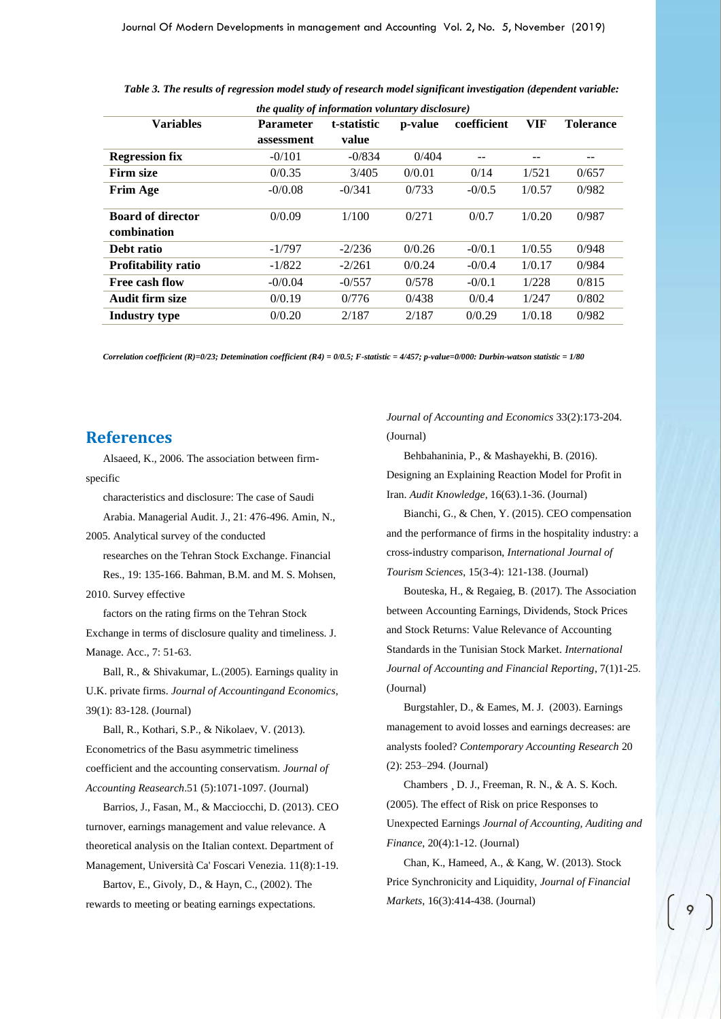| <i>the quality of information voluntary disclosure)</i> |                  |             |         |             |            |                  |  |
|---------------------------------------------------------|------------------|-------------|---------|-------------|------------|------------------|--|
| <b>Variables</b>                                        | <b>Parameter</b> | t-statistic | p-value | coefficient | <b>VIF</b> | <b>Tolerance</b> |  |
|                                                         | assessment       | value       |         |             |            |                  |  |
| <b>Regression fix</b>                                   | $-0/101$         | $-0/834$    | 0/404   |             | --         | --               |  |
| Firm size                                               | 0/0.35           | 3/405       | 0/0.01  | 0/14        | 1/521      | 0/657            |  |
| <b>Frim Age</b>                                         | $-0/0.08$        | $-0/341$    | 0/733   | $-0/0.5$    | 1/0.57     | 0/982            |  |
| <b>Board of director</b>                                | 0/0.09           | 1/100       | 0/271   | 0/0.7       | 1/0.20     | 0/987            |  |
| combination                                             |                  |             |         |             |            |                  |  |
| Debt ratio                                              | $-1/797$         | $-2/236$    | 0/0.26  | $-0/0.1$    | 1/0.55     | 0/948            |  |
| <b>Profitability ratio</b>                              | $-1/822$         | $-2/261$    | 0/0.24  | $-0/0.4$    | 1/0.17     | 0/984            |  |
| Free cash flow                                          | $-0/0.04$        | $-0/557$    | 0/578   | $-0/0.1$    | 1/228      | 0/815            |  |
| Audit firm size                                         | 0/0.19           | 0/776       | 0/438   | 0/0.4       | 1/247      | 0/802            |  |
| Industry type                                           | 0/0.20           | 2/187       | 2/187   | 0/0.29      | 1/0.18     | 0/982            |  |
|                                                         |                  |             |         |             |            |                  |  |

*Table 3. The results of regression model study of research model significant investigation (dependent variable:* 

*Correlation coefficient (R)=0/23; Detemination coefficient (R4) = 0/0.5; F-statistic = 4/457; p-value=0/000: Durbin-watson statistic = 1/80*

#### **References**

Alsaeed, K., 2006. The association between firmspecific

characteristics and disclosure: The case of Saudi

Arabia. Managerial Audit. J., 21: 476-496. Amin, N., 2005. Analytical survey of the conducted

researches on the Tehran Stock Exchange. Financial

Res., 19: 135-166. Bahman, B.M. and M. S. Mohsen, 2010. Survey effective

factors on the rating firms on the Tehran Stock Exchange in terms of disclosure quality and timeliness. J. Manage. Acc., 7: 51-63.

Ball, R., & Shivakumar, L.(2005). Earnings quality in U.K. private firms. *Journal of Accountingand Economics*, 39(1): 83-128. (Journal)

Ball, R., Kothari, S.P., & Nikolaev, V. (2013). Econometrics of the Basu asymmetric timeliness coefficient and the accounting conservatism. *Journal of Accounting Reasearch*.51 (5):1071-1097. (Journal)

Barrios, J., Fasan, M., & Macciocchi, D. (2013). CEO turnover, earnings management and value relevance. A theoretical analysis on the Italian context. Department of Management, Università Ca' Foscari Venezia. 11(8):1-19.

Bartov, E., Givoly, D., & Hayn, C., (2002). The rewards to meeting or beating earnings expectations*.*  *Journal of Accounting and Economics* 33(2):173-204. (Journal)

Behbahaninia, P., & Mashayekhi, B. (2016). Designing an Explaining Reaction Model for Profit in Iran. *Audit Knowledge*, 16(63).1-36. (Journal)

Bianchi, G., & Chen, Y. (2015). CEO compensation and the performance of firms in the hospitality industry: a cross-industry comparison, *International Journal of Tourism Sciences*, 15(3-4): 121-138. (Journal)

Bouteska, H., & Regaieg, B. (2017). The Association between Accounting Earnings, Dividends, Stock Prices and Stock Returns: Value Relevance of Accounting Standards in the Tunisian Stock Market. *International Journal of Accounting and Financial Reporting*, 7(1)1-25. (Journal)

Burgstahler, D., & Eames, M. J. (2003). Earnings management to avoid losses and earnings decreases: are analysts fooled? *Contemporary Accounting Research* 20 (2): 253–294. (Journal)

Chambers ¸ D. J., Freeman, R. N., & A. S. Koch. (2005). The effect of Risk on price Responses to Unexpected Earnings *Journal of Accounting, Auditing and Finance*, 20(4):1-12. (Journal)

Chan, K., Hameed, A., & Kang, W. (2013). Stock Price Synchronicity and Liquidity, *Journal of Financial Markets*, 16(3):414-438. (Journal)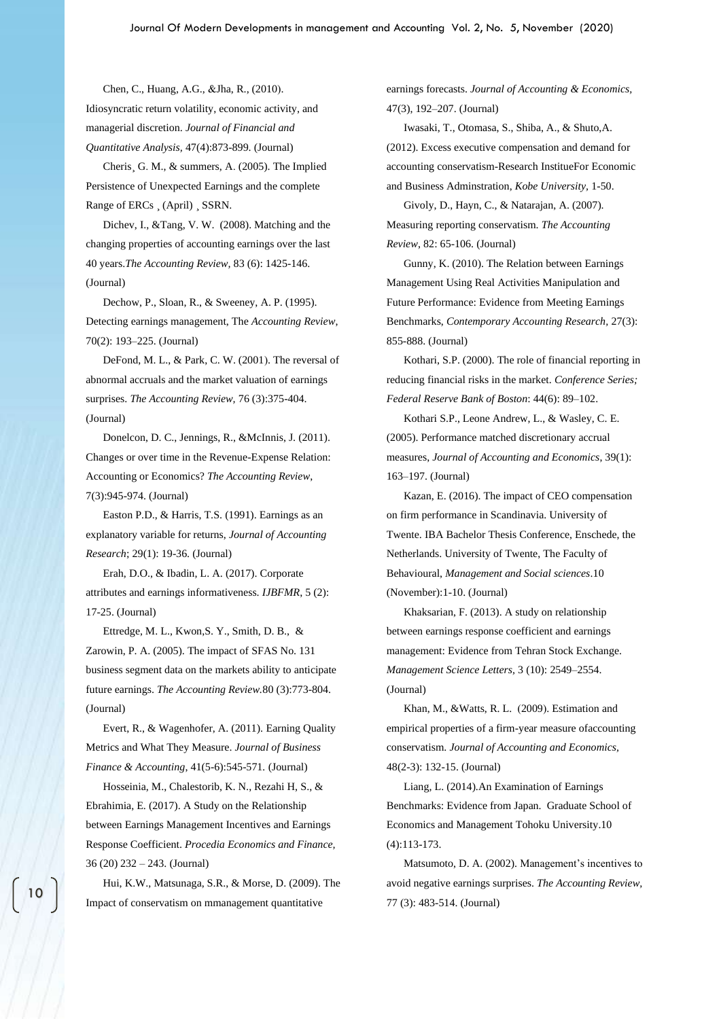Chen, C., Huang, A.G., &Jha, R., (2010). Idiosyncratic return volatility, economic activity, and managerial discretion. *Journal of Financial and Quantitative Analysis,* 47(4):873-899. (Journal)

Cheris¸ G. M., & summers, A. (2005). The Implied Persistence of Unexpected Earnings and the complete Range of ERCs ¸ (April) ¸ SSRN.

Dichev, I., &Tang, V. W. (2008). Matching and the changing properties of accounting earnings over the last 40 years.*The Accounting Review,* 83 (6): 1425-146. (Journal)

Dechow, P., Sloan, R., & Sweeney, A. P. (1995). Detecting earnings management, The *Accounting Review*, 70(2): 193–225. (Journal)

DeFond, M. L., & Park, C. W.  $(2001)$ . The reversal of abnormal accruals and the market valuation of earnings surprises. *The Accounting Review,* 76 (3):375-404. (Journal)

Donelcon, D. C., Jennings, R., &McInnis, J. (2011). Changes or over time in the Revenue-Expense Relation: Accounting or Economics? *The Accounting Review*, 7(3):945-974. (Journal)

Easton P.D., & Harris, T.S. (1991). Earnings as an explanatory variable for returns, *Journal of Accounting Research*; 29(1): 19-36. (Journal)

Erah, D.O., & Ibadin, L. A. (2017). Corporate attributes and earnings informativeness. *IJBFMR*, 5 (2): 17-25. (Journal)

Ettredge, M. L., Kwon,S. Y., Smith, D. B., & Zarowin, P. A. (2005). The impact of SFAS No. 131 business segment data on the markets ability to anticipate future earnings. *The Accounting Review.*80 (3):773-804. (Journal)

Evert, R., & Wagenhofer, A. (2011). Earning Quality Metrics and What They Measure. *Journal of Business Finance & Accounting*, 41(5-6):545-571*.* (Journal)

Hosseinia, M., Chalestorib, K. N., Rezahi H, S., & Ebrahimia, E. (2017). A Study on the Relationship between Earnings Management Incentives and Earnings Response Coefficient. *Procedia Economics and Finance,* 36 (20) 232 – 243. (Journal)

Hui, K.W., Matsunaga, S.R., & Morse, D. (2009). The Impact of conservatism on mmanagement quantitative

earnings forecasts. *Journal of Accounting & Economics,* 47(3), 192–207. (Journal)

Iwasaki, T., Otomasa, S., Shiba, A., & Shuto,A. (2012). Excess executive compensation and demand for accounting conservatism-Research InstitueFor Economic and Business Adminstration, *Kobe University,* 1-50.

Givoly, D., Hayn, C., & Natarajan, A. (2007). Measuring reporting conservatism. *The Accounting Review*, 82: 65-106. (Journal)

Gunny, K. (2010). The Relation between Earnings Management Using Real Activities Manipulation and Future Performance: Evidence from Meeting Earnings Benchmarks, *Contemporary Accounting Research,* 27(3): 855-888. (Journal)

Kothari, S.P. (2000). The role of financial reporting in reducing financial risks in the market. *Conference Series; Federal Reserve Bank of Boston*: 44(6): 89–102.

Kothari S.P., Leone Andrew, L., & Wasley, C. E. (2005). Performance matched discretionary accrual measures, *Journal of Accounting and Economics*, 39(1): 163–197. (Journal)

Kazan, E. (2016). The impact of CEO compensation on firm performance in Scandinavia. University of Twente. IBA Bachelor Thesis Conference, Enschede, the Netherlands. University of Twente, The Faculty of Behavioural, *Management and Social sciences*.10 (November):1-10. (Journal)

Khaksarian, F. (2013). A study on relationship between earnings response coefficient and earnings management: Evidence from Tehran Stock Exchange. *Management Science Letters,* 3 (10): 2549–2554. (Journal)

Khan, M., &Watts, R. L. (2009). Estimation and empirical properties of a firm-year measure ofaccounting conservatism. *Journal of Accounting and Economics,* 48(2-3): 132-15. (Journal)

Liang, L. (2014).An Examination of Earnings Benchmarks: Evidence from Japan. Graduate School of Economics and Management Tohoku University.10 (4):113-173.

Matsumoto, D. A. (2002). Management's incentives to avoid negative earnings surprises. *The Accounting Review,* 77 (3): 483-514. (Journal)

10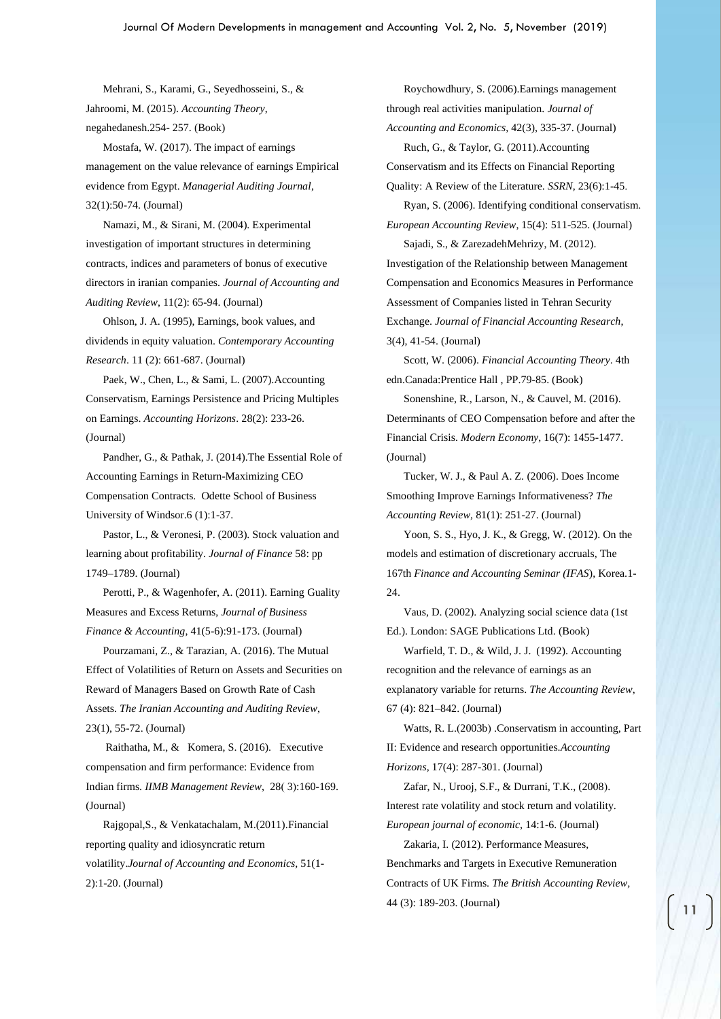Mehrani, S., Karami, G., Seyedhosseini, S., & Jahroomi, M. (2015). *Accounting Theory*, negahedanesh.254- 257. (Book)

Mostafa, W. (2017). The impact of earnings management on the value relevance of earnings Empirical evidence from Egypt. *Managerial Auditing Journal*, 32(1):50-74. (Journal)

Namazi, M., & Sirani, M. (2004). Experimental investigation of important structures in determining contracts, indices and parameters of bonus of executive directors in iranian companies. *Journal of Accounting and Auditing Review*, 11(2): 65-94. (Journal)

Ohlson, J. A. (1995), Earnings, book values, and dividends in equity valuation. *Contemporary Accounting Research*. 11 (2): 661-687. (Journal)

Paek, W., Chen, L., & Sami, L. (2007).Accounting Conservatism, Earnings Persistence and Pricing Multiples on Earnings. *Accounting Horizons*. 28(2): 233-26. (Journal)

Pandher, G., & Pathak, J. (2014).The Essential Role of Accounting Earnings in Return-Maximizing CEO Compensation Contracts. Odette School of Business University of Windsor.6 (1):1-37.

Pastor, L., & Veronesi, P. (2003). Stock valuation and learning about profitability. *Journal of Finance* 58: pp 1749–1789. (Journal)

Perotti, P., & Wagenhofer, A. (2011). Earning Guality Measures and Excess Returns, *Journal of Business Finance & Accounting*, 41(5-6):91-173. (Journal)

Pourzamani, Z., & Tarazian, A. (2016). The Mutual Effect of Volatilities of Return on Assets and Securities on Reward of Managers Based on Growth Rate of Cash Assets. *The Iranian Accounting and Auditing Review*, 23(1), 55-72. (Journal)

[Raithatha, M., & Komera, S. \(2016\). E](http://www.sciencedirect.com/science/article/pii/S0970389616300465)xecutive compensation and firm performance: Evidence from Indian firms. *[IIMB Management Review](http://www.sciencedirect.com/science/journal/09703896)*, 28(3):160-169. (Journal)

Rajgopal,S., & Venkatachalam, M.(2011).Financial reporting quality and idiosyncratic return volatility.*Journal of Accounting and Economics,* 51(1- 2):1-20. (Journal)

Roychowdhury, S. (2006).Earnings management through real activities manipulation. *Journal of Accounting and Economics,* 42(3), 335-37. (Journal) Ruch, G., & Taylor, G. (2011).Accounting Conservatism and its Effects on Financial Reporting

Quality: A Review of the Literature. *SSRN*, 23(6):1-45 .

Ryan, S. (2006). Identifying conditional conservatism. *European Accounting Review*, 15(4): 511-525. (Journal)

Sajadi, S., & ZarezadehMehrizy, M. (2012). Investigation of the Relationship between Management Compensation and Economics Measures in Performance Assessment of Companies listed in Tehran Security Exchange. *Journal of Financial Accounting Research*, 3(4), 41-54. (Journal)

Scott, W. (2006). *Financial Accounting Theory*. 4th edn.Canada:Prentice Hall , PP.79-85. (Book)

Sonenshine, R., Larson, N., & Cauvel, M. (2016). Determinants of CEO Compensation before and after the Financial Crisis. *Modern Economy*, 16(7): 1455-1477. (Journal)

Tucker, W. J., & Paul A. Z. (2006). Does Income Smoothing Improve Earnings Informativeness? *The Accounting Review,* 81(1): 251-27. (Journal)

Yoon, S. S., Hyo, J. K., & Gregg, W. (2012). On the models and estimation of discretionary accruals, The 167th *Finance and Accounting Seminar (IFAS*), Korea.1- 24.

Vaus, D. (2002). Analyzing social science data (1st Ed.). London: SAGE Publications Ltd. (Book)

Warfield, T. D., & Wild, J. J. (1992). Accounting recognition and the relevance of earnings as an explanatory variable for returns. *The Accounting Review*, 67 (4): 821–842. (Journal)

Watts, R. L. (2003b) .Conservatism in accounting, Part II: Evidence and research opportunities.*Accounting Horizons*, 17(4): 287-301. (Journal)

Zafar, N., Urooj, S.F., & Durrani, T.K., (2008). Interest rate volatility and stock return and volatility. *European journal of economic,* 14:1-6. (Journal)

Zakaria, I. (2012). Performance Measures, Benchmarks and Targets in Executive Remuneration Contracts of UK Firms. *The British Accounting Review,* 44 (3): 189-203. (Journal)